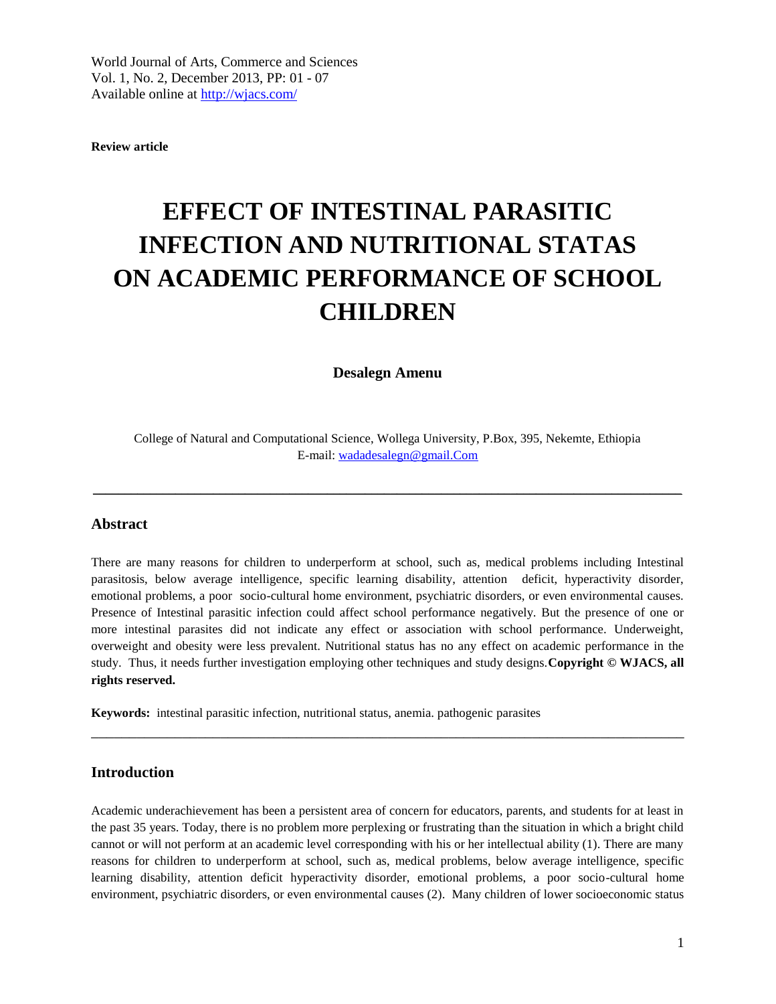**Review article**

# **EFFECT OF INTESTINAL PARASITIC INFECTION AND NUTRITIONAL STATAS ON ACADEMIC PERFORMANCE OF SCHOOL CHILDREN**

**Desalegn Amenu**

College of Natural and Computational Science, Wollega University, P.Box, 395, Nekemte, Ethiopia E-mail: [wadadesalegn@gmail.Com](mailto:wadadesalegn@gmail.Com)

 $\mathcal{L}_\mathcal{L} = \mathcal{L}_\mathcal{L} = \mathcal{L}_\mathcal{L} = \mathcal{L}_\mathcal{L} = \mathcal{L}_\mathcal{L} = \mathcal{L}_\mathcal{L} = \mathcal{L}_\mathcal{L} = \mathcal{L}_\mathcal{L} = \mathcal{L}_\mathcal{L} = \mathcal{L}_\mathcal{L} = \mathcal{L}_\mathcal{L} = \mathcal{L}_\mathcal{L} = \mathcal{L}_\mathcal{L} = \mathcal{L}_\mathcal{L} = \mathcal{L}_\mathcal{L} = \mathcal{L}_\mathcal{L} = \mathcal{L}_\mathcal{L}$ 

## **Abstract**

There are many reasons for children to underperform at school, such as, medical problems including Intestinal parasitosis, below average intelligence, specific learning disability, attention deficit, hyperactivity disorder, emotional problems, a poor socio-cultural home environment, psychiatric disorders, or even environmental causes. Presence of Intestinal parasitic infection could affect school performance negatively. But the presence of one or more intestinal parasites did not indicate any effect or association with school performance. Underweight, overweight and obesity were less prevalent. Nutritional status has no any effect on academic performance in the study. Thus, it needs further investigation employing other techniques and study designs.**Copyright © WJACS, all rights reserved.** 

\_\_\_\_\_\_\_\_\_\_\_\_\_\_\_\_\_\_\_\_\_\_\_\_\_\_\_\_\_\_\_\_\_\_\_\_\_\_\_\_\_\_\_\_\_\_\_\_\_\_\_\_\_\_\_\_\_\_\_\_\_\_\_\_\_\_\_\_\_\_\_\_\_\_\_\_\_\_

**Keywords:** intestinal parasitic infection, nutritional status, anemia. pathogenic parasites

#### **Introduction**

Academic underachievement has been a persistent area of concern for educators, parents, and students for at least in the past 35 years. Today, there is no problem more perplexing or frustrating than the situation in which a bright child cannot or will not perform at an academic level corresponding with his or her intellectual ability (1). There are many reasons for children to underperform at school, such as, medical problems, below average intelligence, specific learning disability, attention deficit hyperactivity disorder, emotional problems, a poor socio-cultural home environment, psychiatric disorders, or even environmental causes (2). Many children of lower socioeconomic status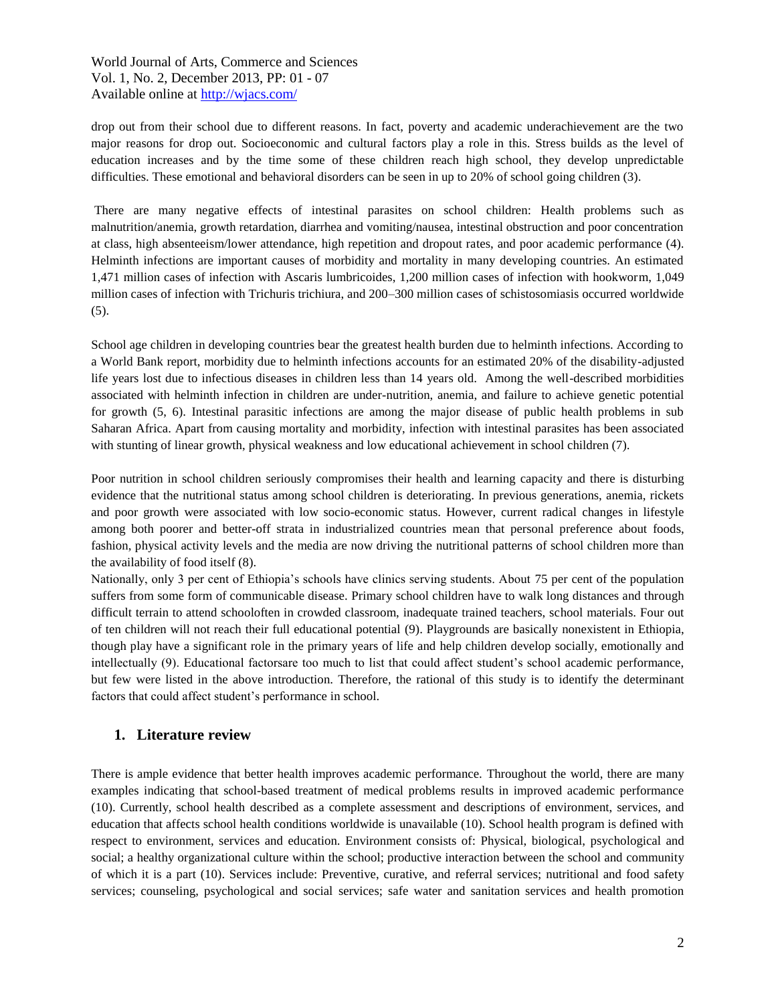drop out from their school due to different reasons. In fact, poverty and academic underachievement are the two major reasons for drop out. Socioeconomic and cultural factors play a role in this. Stress builds as the level of education increases and by the time some of these children reach high school, they develop unpredictable difficulties. These emotional and behavioral disorders can be seen in up to 20% of school going children (3).

There are many negative effects of intestinal parasites on school children: Health problems such as malnutrition/anemia, growth retardation, diarrhea and vomiting/nausea, intestinal obstruction and poor concentration at class, high absenteeism/lower attendance, high repetition and dropout rates, and poor academic performance (4). Helminth infections are important causes of morbidity and mortality in many developing countries. An estimated 1,471 million cases of infection with Ascaris lumbricoides, 1,200 million cases of infection with hookworm, 1,049 million cases of infection with Trichuris trichiura, and 200–300 million cases of schistosomiasis occurred worldwide (5).

School age children in developing countries bear the greatest health burden due to helminth infections. According to a World Bank report, morbidity due to helminth infections accounts for an estimated 20% of the disability-adjusted life years lost due to infectious diseases in children less than 14 years old. Among the well-described morbidities associated with helminth infection in children are under-nutrition, anemia, and failure to achieve genetic potential for growth (5, 6). Intestinal parasitic infections are among the major disease of public health problems in sub Saharan Africa. Apart from causing mortality and morbidity, infection with intestinal parasites has been associated with stunting of linear growth, physical weakness and low educational achievement in school children (7).

Poor nutrition in school children seriously compromises their health and learning capacity and there is disturbing evidence that the nutritional status among school children is deteriorating. In previous generations, anemia, rickets and poor growth were associated with low socio-economic status. However, current radical changes in lifestyle among both poorer and better-off strata in industrialized countries mean that personal preference about foods, fashion, physical activity levels and the media are now driving the nutritional patterns of school children more than the availability of food itself (8).

Nationally, only 3 per cent of Ethiopia's schools have clinics serving students. About 75 per cent of the population suffers from some form of communicable disease. Primary school children have to walk long distances and through difficult terrain to attend schooloften in crowded classroom, inadequate trained teachers, school materials. Four out of ten children will not reach their full educational potential (9). Playgrounds are basically nonexistent in Ethiopia, though play have a significant role in the primary years of life and help children develop socially, emotionally and intellectually (9). Educational factorsare too much to list that could affect student's school academic performance, but few were listed in the above introduction. Therefore, the rational of this study is to identify the determinant factors that could affect student's performance in school.

## **1. Literature review**

There is ample evidence that better health improves academic performance. Throughout the world, there are many examples indicating that school-based treatment of medical problems results in improved academic performance (10). Currently, school health described as a complete assessment and descriptions of environment, services, and education that affects school health conditions worldwide is unavailable (10). School health program is defined with respect to environment, services and education. Environment consists of: Physical, biological, psychological and social; a healthy organizational culture within the school; productive interaction between the school and community of which it is a part (10). Services include: Preventive, curative, and referral services; nutritional and food safety services; counseling, psychological and social services; safe water and sanitation services and health promotion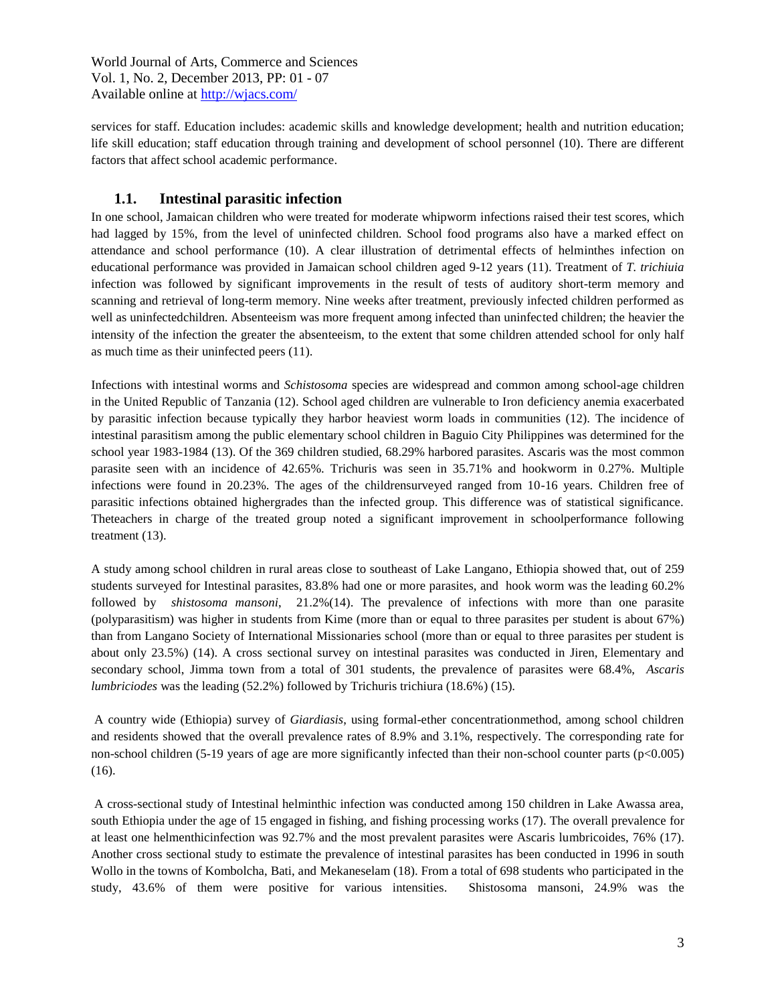services for staff. Education includes: academic skills and knowledge development; health and nutrition education; life skill education; staff education through training and development of school personnel (10). There are different factors that affect school academic performance.

# **1.1. Intestinal parasitic infection**

In one school, Jamaican children who were treated for moderate whipworm infections raised their test scores, which had lagged by 15%, from the level of uninfected children. School food programs also have a marked effect on attendance and school performance (10). A clear illustration of detrimental effects of helminthes infection on educational performance was provided in Jamaican school children aged 9-12 years (11). Treatment of *T. trichiuia* infection was followed by significant improvements in the result of tests of auditory short-term memory and scanning and retrieval of long-term memory. Nine weeks after treatment, previously infected children performed as well as uninfectedchildren. Absenteeism was more frequent among infected than uninfected children; the heavier the intensity of the infection the greater the absenteeism, to the extent that some children attended school for only half as much time as their uninfected peers (11).

Infections with intestinal worms and *Schistosoma* species are widespread and common among school-age children in the United Republic of Tanzania (12). School aged children are vulnerable to Iron deficiency anemia exacerbated by parasitic infection because typically they harbor heaviest worm loads in communities (12). The incidence of intestinal parasitism among the public elementary school children in Baguio City Philippines was determined for the school year 1983-1984 (13). Of the 369 children studied, 68.29% harbored parasites. Ascaris was the most common parasite seen with an incidence of 42.65%. Trichuris was seen in 35.71% and hookworm in 0.27%. Multiple infections were found in 20.23%. The ages of the childrensurveyed ranged from 10-16 years. Children free of parasitic infections obtained highergrades than the infected group. This difference was of statistical significance. Theteachers in charge of the treated group noted a significant improvement in schoolperformance following treatment (13).

A study among school children in rural areas close to southeast of Lake Langano, Ethiopia showed that, out of 259 students surveyed for Intestinal parasites, 83.8% had one or more parasites, and hook worm was the leading 60.2% followed by *shistosoma mansoni*, 21.2%(14). The prevalence of infections with more than one parasite (polyparasitism) was higher in students from Kime (more than or equal to three parasites per student is about 67%) than from Langano Society of International Missionaries school (more than or equal to three parasites per student is about only 23.5%) (14). A cross sectional survey on intestinal parasites was conducted in Jiren, Elementary and secondary school, Jimma town from a total of 301 students, the prevalence of parasites were 68.4%, *Ascaris lumbriciodes* was the leading (52.2%) followed by Trichuris trichiura (18.6%) (15).

A country wide (Ethiopia) survey of *Giardiasis*, using formal-ether concentrationmethod, among school children and residents showed that the overall prevalence rates of 8.9% and 3.1%, respectively. The corresponding rate for non-school children (5-19 years of age are more significantly infected than their non-school counter parts (p<0.005) (16).

A cross-sectional study of Intestinal helminthic infection was conducted among 150 children in Lake Awassa area, south Ethiopia under the age of 15 engaged in fishing, and fishing processing works (17). The overall prevalence for at least one helmenthicinfection was 92.7% and the most prevalent parasites were Ascaris lumbricoides, 76% (17). Another cross sectional study to estimate the prevalence of intestinal parasites has been conducted in 1996 in south Wollo in the towns of Kombolcha, Bati, and Mekaneselam (18). From a total of 698 students who participated in the study, 43.6% of them were positive for various intensities. Shistosoma mansoni, 24.9% was the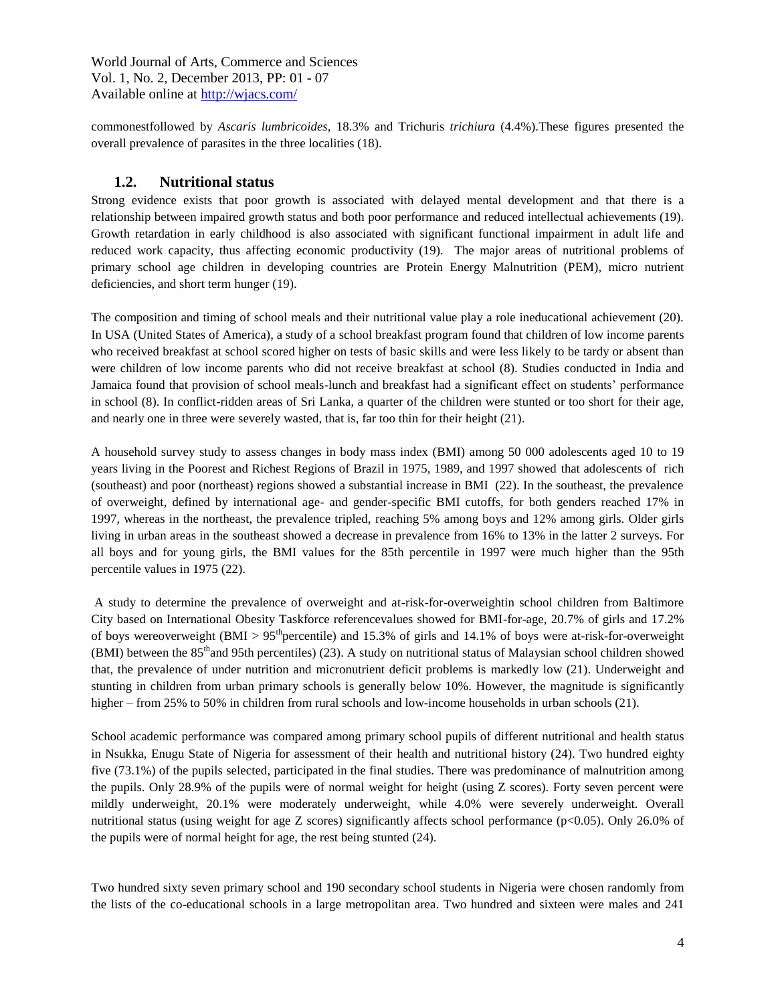commonestfollowed by *Ascaris lumbricoides*, 18.3% and Trichuris *trichiura* (4.4%).These figures presented the overall prevalence of parasites in the three localities (18).

## **1.2. Nutritional status**

Strong evidence exists that poor growth is associated with delayed mental development and that there is a relationship between impaired growth status and both poor performance and reduced intellectual achievements (19). Growth retardation in early childhood is also associated with significant functional impairment in adult life and reduced work capacity, thus affecting economic productivity (19). The major areas of nutritional problems of primary school age children in developing countries are Protein Energy Malnutrition (PEM), micro nutrient deficiencies, and short term hunger (19).

The composition and timing of school meals and their nutritional value play a role ineducational achievement (20). In USA (United States of America), a study of a school breakfast program found that children of low income parents who received breakfast at school scored higher on tests of basic skills and were less likely to be tardy or absent than were children of low income parents who did not receive breakfast at school (8). Studies conducted in India and Jamaica found that provision of school meals-lunch and breakfast had a significant effect on students' performance in school (8). In conflict-ridden areas of Sri Lanka, a quarter of the children were stunted or too short for their age, and nearly one in three were severely wasted, that is, far too thin for their height (21).

A household survey study to assess changes in body mass index (BMI) among 50 000 adolescents aged 10 to 19 years living in the Poorest and Richest Regions of Brazil in 1975, 1989, and 1997 showed that adolescents of rich (southeast) and poor (northeast) regions showed a substantial increase in BMI (22). In the southeast, the prevalence of overweight, defined by international age- and gender-specific BMI cutoffs, for both genders reached 17% in 1997, whereas in the northeast, the prevalence tripled, reaching 5% among boys and 12% among girls. Older girls living in urban areas in the southeast showed a decrease in prevalence from 16% to 13% in the latter 2 surveys. For all boys and for young girls, the BMI values for the 85th percentile in 1997 were much higher than the 95th percentile values in 1975 (22).

A study to determine the prevalence of overweight and at-risk-for-overweightin school children from Baltimore City based on International Obesity Taskforce referencevalues showed for BMI-for-age, 20.7% of girls and 17.2% of boys wereoverweight (BMI > 95<sup>th</sup> percentile) and 15.3% of girls and 14.1% of boys were at-risk-for-overweight (BMI) between the  $85<sup>th</sup>$  and 95th percentiles) (23). A study on nutritional status of Malaysian school children showed that, the prevalence of under nutrition and micronutrient deficit problems is markedly low (21). Underweight and stunting in children from urban primary schools is generally below 10%. However, the magnitude is significantly higher – from 25% to 50% in children from rural schools and low-income households in urban schools (21).

School academic performance was compared among primary school pupils of different nutritional and health status in Nsukka, Enugu State of Nigeria for assessment of their health and nutritional history (24). Two hundred eighty five (73.1%) of the pupils selected, participated in the final studies. There was predominance of malnutrition among the pupils. Only 28.9% of the pupils were of normal weight for height (using Z scores). Forty seven percent were mildly underweight, 20.1% were moderately underweight, while 4.0% were severely underweight. Overall nutritional status (using weight for age Z scores) significantly affects school performance (p<0.05). Only 26.0% of the pupils were of normal height for age, the rest being stunted (24).

Two hundred sixty seven primary school and 190 secondary school students in Nigeria were chosen randomly from the lists of the co-educational schools in a large metropolitan area. Two hundred and sixteen were males and 241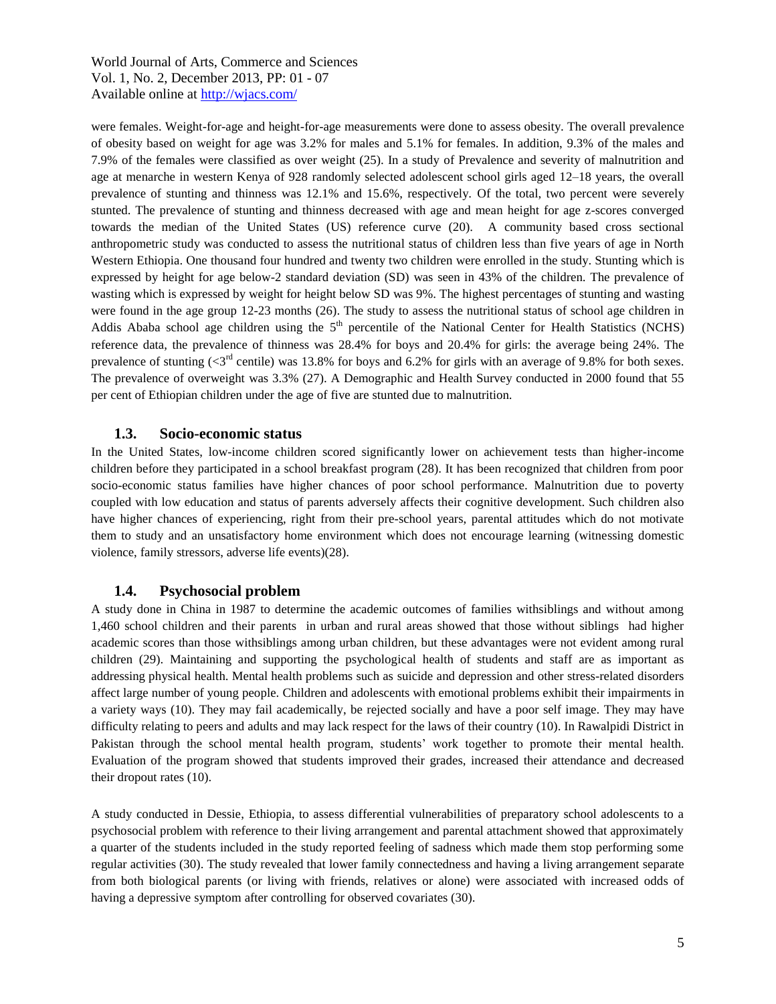were females. Weight-for-age and height-for-age measurements were done to assess obesity. The overall prevalence of obesity based on weight for age was 3.2% for males and 5.1% for females. In addition, 9.3% of the males and 7.9% of the females were classified as over weight (25). In a study of Prevalence and severity of malnutrition and age at menarche in western Kenya of 928 randomly selected adolescent school girls aged 12–18 years, the overall prevalence of stunting and thinness was 12.1% and 15.6%, respectively. Of the total, two percent were severely stunted. The prevalence of stunting and thinness decreased with age and mean height for age z-scores converged towards the median of the United States (US) reference curve (20). A community based cross sectional anthropometric study was conducted to assess the nutritional status of children less than five years of age in North Western Ethiopia. One thousand four hundred and twenty two children were enrolled in the study. Stunting which is expressed by height for age below-2 standard deviation (SD) was seen in 43% of the children. The prevalence of wasting which is expressed by weight for height below SD was 9%. The highest percentages of stunting and wasting were found in the age group 12-23 months (26). The study to assess the nutritional status of school age children in Addis Ababa school age children using the  $5<sup>th</sup>$  percentile of the National Center for Health Statistics (NCHS) reference data, the prevalence of thinness was 28.4% for boys and 20.4% for girls: the average being 24%. The prevalence of stunting ( $\langle 3^{rd}$  centile) was 13.8% for boys and 6.2% for girls with an average of 9.8% for both sexes. The prevalence of overweight was 3.3% (27). A Demographic and Health Survey conducted in 2000 found that 55 per cent of Ethiopian children under the age of five are stunted due to malnutrition.

#### **1.3. Socio-economic status**

In the United States, low-income children scored significantly lower on achievement tests than higher-income children before they participated in a school breakfast program (28). It has been recognized that children from poor socio-economic status families have higher chances of poor school performance. Malnutrition due to poverty coupled with low education and status of parents adversely affects their cognitive development. Such children also have higher chances of experiencing, right from their pre-school years, parental attitudes which do not motivate them to study and an unsatisfactory home environment which does not encourage learning (witnessing domestic violence, family stressors, adverse life events)(28).

#### **1.4. Psychosocial problem**

A study done in China in 1987 to determine the academic outcomes of families withsiblings and without among 1,460 school children and their parents in urban and rural areas showed that those without siblings had higher academic scores than those withsiblings among urban children, but these advantages were not evident among rural children (29). Maintaining and supporting the psychological health of students and staff are as important as addressing physical health. Mental health problems such as suicide and depression and other stress-related disorders affect large number of young people. Children and adolescents with emotional problems exhibit their impairments in a variety ways (10). They may fail academically, be rejected socially and have a poor self image. They may have difficulty relating to peers and adults and may lack respect for the laws of their country (10). In Rawalpidi District in Pakistan through the school mental health program, students' work together to promote their mental health. Evaluation of the program showed that students improved their grades, increased their attendance and decreased their dropout rates (10).

A study conducted in Dessie, Ethiopia, to assess differential vulnerabilities of preparatory school adolescents to a psychosocial problem with reference to their living arrangement and parental attachment showed that approximately a quarter of the students included in the study reported feeling of sadness which made them stop performing some regular activities (30). The study revealed that lower family connectedness and having a living arrangement separate from both biological parents (or living with friends, relatives or alone) were associated with increased odds of having a depressive symptom after controlling for observed covariates (30).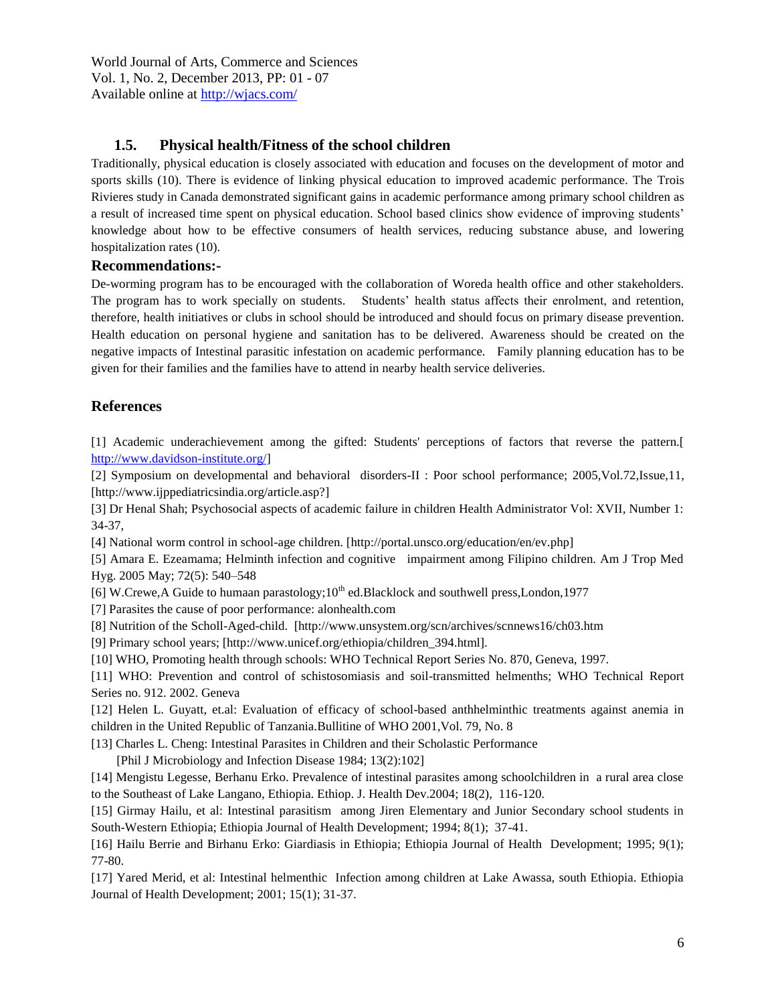# **1.5. Physical health/Fitness of the school children**

Traditionally, physical education is closely associated with education and focuses on the development of motor and sports skills (10). There is evidence of linking physical education to improved academic performance. The Trois Rivieres study in Canada demonstrated significant gains in academic performance among primary school children as a result of increased time spent on physical education. School based clinics show evidence of improving students' knowledge about how to be effective consumers of health services, reducing substance abuse, and lowering hospitalization rates (10).

## **Recommendations:-**

De-worming program has to be encouraged with the collaboration of Woreda health office and other stakeholders. The program has to work specially on students. Students' health status affects their enrolment, and retention, therefore, health initiatives or clubs in school should be introduced and should focus on primary disease prevention. Health education on personal hygiene and sanitation has to be delivered. Awareness should be created on the negative impacts of Intestinal parasitic infestation on academic performance. Family planning education has to be given for their families and the families have to attend in nearby health service deliveries.

# **References**

[1] Academic underachievement among the gifted: Students' perceptions of factors that reverse the pattern.[ [http://www.davidson-institute.org/\]](http://www.davidson-institute.org/)

[2] Symposium on developmental and behavioral disorders-II : Poor school performance; 2005,Vol.72,Issue,11, [http://www.ijppediatricsindia.org/article.asp?]

[3] Dr Henal Shah; Psychosocial aspects of academic failure in children Health Administrator Vol: XVII, Number 1: 34-37,

[4] National worm control in school-age children. [http://portal.unsco.org/education/en/ev.php]

[5] Amara E. Ezeamama; Helminth infection and cognitive impairment among Filipino children. Am J Trop Med Hyg. 2005 May; 72(5): 540–548

[6] W.Crewe, A Guide to humaan parastology;  $10^{th}$  ed. Blacklock and southwell press, London, 1977

[7] Parasites the cause of poor performance: alonhealth.com

[8] Nutrition of the Scholl-Aged-child. [http://www.unsystem.org/scn/archives/scnnews16/ch03.htm

[9] Primary school years; [http://www.unicef.org/ethiopia/children\_394.html].

[10] WHO, Promoting health through schools: WHO Technical Report Series No. 870, Geneva, 1997.

[11] WHO: Prevention and control of schistosomiasis and soil-transmitted helmenths; WHO Technical Report Series no. 912. 2002. Geneva

[12] Helen L. Guyatt, et.al: Evaluation of efficacy of school-based anthhelminthic treatments against anemia in children in the United Republic of Tanzania.Bullitine of WHO 2001,Vol. 79, No. 8

[13] Charles L. Cheng: Intestinal Parasites in Children and their Scholastic Performance

[Phil J Microbiology and Infection Disease 1984; 13(2):102]

[14] Mengistu Legesse, Berhanu Erko. Prevalence of intestinal parasites among schoolchildren in a rural area close to the Southeast of Lake Langano, Ethiopia. Ethiop. J. Health Dev.2004; 18(2), 116-120.

[15] Girmay Hailu, et al: Intestinal parasitism among Jiren Elementary and Junior Secondary school students in South-Western Ethiopia; Ethiopia Journal of Health Development; 1994; 8(1); 37-41.

[16] Hailu Berrie and Birhanu Erko: Giardiasis in Ethiopia; Ethiopia Journal of Health Development; 1995; 9(1); 77-80.

[17] Yared Merid, et al: Intestinal helmenthic Infection among children at Lake Awassa, south Ethiopia. Ethiopia Journal of Health Development; 2001; 15(1); 31-37.